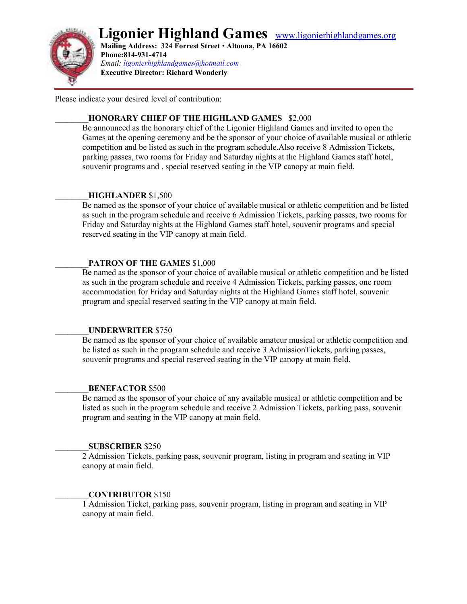# **Ligonier Highland Games** www.ligonierhighlandgames.org



 **Mailing Address: 324 Forrest Street Altoona, PA 16602 Phone:814-931-4714** *Email: ligonierhighlandgames@hotmail.com*  **Executive Director: Richard Wonderly**

Please indicate your desired level of contribution:

#### \_\_\_\_\_\_\_\_**HONORARY CHIEF OF THE HIGHLAND GAMES** \$2,000

Be announced as the honorary chief of the Ligonier Highland Games and invited to open the Games at the opening ceremony and be the sponsor of your choice of available musical or athletic competition and be listed as such in the program schedule.Also receive 8 Admission Tickets, parking passes, two rooms for Friday and Saturday nights at the Highland Games staff hotel, souvenir programs and , special reserved seating in the VIP canopy at main field.

#### \_\_\_\_\_\_\_\_**HIGHLANDER** \$1,500

Be named as the sponsor of your choice of available musical or athletic competition and be listed as such in the program schedule and receive 6 Admission Tickets, parking passes, two rooms for Friday and Saturday nights at the Highland Games staff hotel, souvenir programs and special reserved seating in the VIP canopy at main field.

#### PATRON OF THE GAMES \$1,000

Be named as the sponsor of your choice of available musical or athletic competition and be listed as such in the program schedule and receive 4 Admission Tickets, parking passes, one room accommodation for Friday and Saturday nights at the Highland Games staff hotel, souvenir program and special reserved seating in the VIP canopy at main field.

#### \_\_\_\_\_\_\_\_**UNDERWRITER** \$750

Be named as the sponsor of your choice of available amateur musical or athletic competition and be listed as such in the program schedule and receive 3 AdmissionTickets, parking passes, souvenir programs and special reserved seating in the VIP canopy at main field.

#### \_\_\_\_\_\_\_\_**BENEFACTOR** \$500

Be named as the sponsor of your choice of any available musical or athletic competition and be listed as such in the program schedule and receive 2 Admission Tickets, parking pass, souvenir program and seating in the VIP canopy at main field.

#### \_\_\_\_\_\_\_\_**SUBSCRIBER** \$250

2 Admission Tickets, parking pass, souvenir program, listing in program and seating in VIP canopy at main field.

#### \_\_\_\_\_\_\_\_**CONTRIBUTOR** \$150

1 Admission Ticket, parking pass, souvenir program, listing in program and seating in VIP canopy at main field.